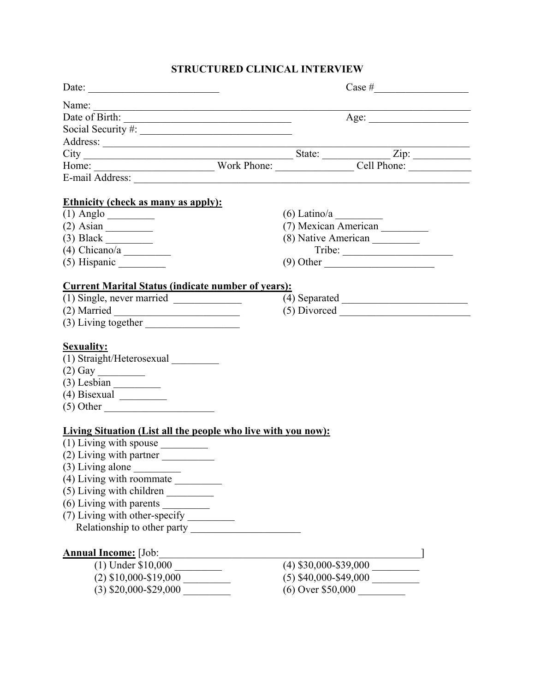# **STRUCTURED CLINICAL INTERVIEW**

| Date: $\frac{1}{\sqrt{1-\frac{1}{2}}\sqrt{1-\frac{1}{2}}\sqrt{1-\frac{1}{2}}\sqrt{1-\frac{1}{2}}\sqrt{1-\frac{1}{2}}\sqrt{1-\frac{1}{2}}\sqrt{1-\frac{1}{2}}\sqrt{1-\frac{1}{2}}\sqrt{1-\frac{1}{2}}\sqrt{1-\frac{1}{2}}\sqrt{1-\frac{1}{2}}\sqrt{1-\frac{1}{2}}\sqrt{1-\frac{1}{2}}\sqrt{1-\frac{1}{2}}\sqrt{1-\frac{1}{2}}\sqrt{1-\frac{1}{2}}\sqrt{1-\frac{1}{2}}\sqrt{1-\frac{1}{2}}\sqrt{1-\frac{1}{2}}$ |                                                             |
|---------------------------------------------------------------------------------------------------------------------------------------------------------------------------------------------------------------------------------------------------------------------------------------------------------------------------------------------------------------------------------------------------------------|-------------------------------------------------------------|
|                                                                                                                                                                                                                                                                                                                                                                                                               | <u> 1989 - Johann Barbara, martxa al III-lea (h. 1989).</u> |
|                                                                                                                                                                                                                                                                                                                                                                                                               | Age: $\qquad \qquad$                                        |
|                                                                                                                                                                                                                                                                                                                                                                                                               |                                                             |
|                                                                                                                                                                                                                                                                                                                                                                                                               |                                                             |
|                                                                                                                                                                                                                                                                                                                                                                                                               |                                                             |
|                                                                                                                                                                                                                                                                                                                                                                                                               |                                                             |
|                                                                                                                                                                                                                                                                                                                                                                                                               |                                                             |
| <b>Ethnicity (check as many as apply):</b>                                                                                                                                                                                                                                                                                                                                                                    |                                                             |
|                                                                                                                                                                                                                                                                                                                                                                                                               | (6) Latino/a<br>(7) Mexican American                        |
|                                                                                                                                                                                                                                                                                                                                                                                                               |                                                             |
|                                                                                                                                                                                                                                                                                                                                                                                                               | (8) Native American __________                              |
|                                                                                                                                                                                                                                                                                                                                                                                                               |                                                             |
|                                                                                                                                                                                                                                                                                                                                                                                                               | $(9)$ Other                                                 |
| <b>Current Marital Status (indicate number of years):</b>                                                                                                                                                                                                                                                                                                                                                     |                                                             |
| $(1)$ Single, never married $\_\_$                                                                                                                                                                                                                                                                                                                                                                            | $(4)$ Separated                                             |
| $(2)$ Married                                                                                                                                                                                                                                                                                                                                                                                                 |                                                             |
|                                                                                                                                                                                                                                                                                                                                                                                                               |                                                             |
| <b>Sexuality:</b>                                                                                                                                                                                                                                                                                                                                                                                             |                                                             |
| (1) Straight/Heterosexual                                                                                                                                                                                                                                                                                                                                                                                     |                                                             |
|                                                                                                                                                                                                                                                                                                                                                                                                               |                                                             |
|                                                                                                                                                                                                                                                                                                                                                                                                               |                                                             |
|                                                                                                                                                                                                                                                                                                                                                                                                               |                                                             |
|                                                                                                                                                                                                                                                                                                                                                                                                               |                                                             |
|                                                                                                                                                                                                                                                                                                                                                                                                               |                                                             |
| <b>Living Situation (List all the people who live with you now):</b>                                                                                                                                                                                                                                                                                                                                          |                                                             |
| $(1)$ Living with spouse $\_\_$                                                                                                                                                                                                                                                                                                                                                                               |                                                             |
| (2) Living with partner                                                                                                                                                                                                                                                                                                                                                                                       |                                                             |
|                                                                                                                                                                                                                                                                                                                                                                                                               |                                                             |
|                                                                                                                                                                                                                                                                                                                                                                                                               |                                                             |
| $(5)$ Living with children $\frac{1}{2}$                                                                                                                                                                                                                                                                                                                                                                      |                                                             |
|                                                                                                                                                                                                                                                                                                                                                                                                               |                                                             |
| (7) Living with other-specify __________                                                                                                                                                                                                                                                                                                                                                                      |                                                             |
| Relationship to other party                                                                                                                                                                                                                                                                                                                                                                                   |                                                             |
| <b>Annual Income:</b> [Job:                                                                                                                                                                                                                                                                                                                                                                                   |                                                             |
| $(1)$ Under \$10,000                                                                                                                                                                                                                                                                                                                                                                                          | $(4)$ \$30,000-\$39,000                                     |
| $(2)$ \$10,000-\$19,000                                                                                                                                                                                                                                                                                                                                                                                       |                                                             |
| $(3)$ \$20,000-\$29,000                                                                                                                                                                                                                                                                                                                                                                                       | $(6)$ Over \$50,000                                         |
|                                                                                                                                                                                                                                                                                                                                                                                                               |                                                             |
|                                                                                                                                                                                                                                                                                                                                                                                                               |                                                             |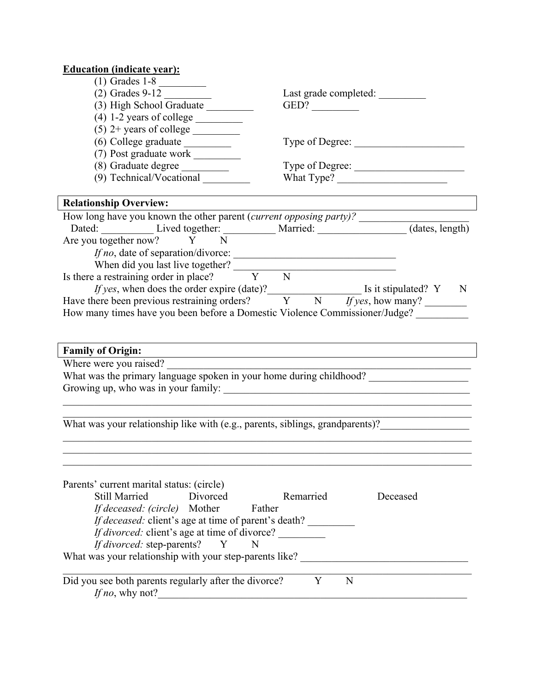| <b>Education (indicate year):</b>                                                                                                                               |                       |                 |
|-----------------------------------------------------------------------------------------------------------------------------------------------------------------|-----------------------|-----------------|
| $\overline{(1)}$ Grades 1-8                                                                                                                                     |                       |                 |
| $(2)$ Grades 9-12                                                                                                                                               | Last grade completed: |                 |
| (3) High School Graduate                                                                                                                                        | GED?                  |                 |
| $(4)$ 1-2 years of college $\_\_$                                                                                                                               |                       |                 |
|                                                                                                                                                                 |                       |                 |
|                                                                                                                                                                 |                       |                 |
|                                                                                                                                                                 |                       |                 |
| (8) Graduate degree                                                                                                                                             |                       | Type of Degree: |
| (9) Technical/Vocational                                                                                                                                        | What Type?            |                 |
| <b>Relationship Overview:</b>                                                                                                                                   |                       |                 |
|                                                                                                                                                                 |                       |                 |
|                                                                                                                                                                 |                       |                 |
| Are you together now? Y N                                                                                                                                       |                       |                 |
| If no, date of separation/divorce:                                                                                                                              |                       |                 |
| When did you last live together?<br>Is there a restraining order in place?<br>$\overline{Y}$ $\overline{N}$                                                     |                       |                 |
|                                                                                                                                                                 |                       |                 |
| <i>If yes</i> , when does the order expire (date)?<br>$\frac{1}{Y}$ Is it stipulated? Y N<br>Have there been previous restraining orders? Y N If yes, how many? |                       |                 |
|                                                                                                                                                                 |                       |                 |
| How many times have you been before a Domestic Violence Commissioner/Judge?                                                                                     |                       |                 |
|                                                                                                                                                                 |                       |                 |
|                                                                                                                                                                 |                       |                 |
| <b>Family of Origin:</b>                                                                                                                                        |                       |                 |
| Where were you raised?<br>What was the primary language spoken in your home during childhood?                                                                   |                       |                 |
|                                                                                                                                                                 |                       |                 |
|                                                                                                                                                                 |                       |                 |
|                                                                                                                                                                 |                       |                 |
|                                                                                                                                                                 |                       |                 |
| What was your relationship like with (e.g., parents, siblings, grandparents)?_________________________________                                                  |                       |                 |
|                                                                                                                                                                 |                       |                 |
|                                                                                                                                                                 |                       |                 |
|                                                                                                                                                                 |                       |                 |
| Parents' current marital status: (circle)                                                                                                                       |                       |                 |
| <b>Still Married</b><br>Divorced                                                                                                                                | Remarried             | Deceased        |
| If deceased: (circle) Mother<br>Father                                                                                                                          |                       |                 |
| If deceased: client's age at time of parent's death?                                                                                                            |                       |                 |
| If divorced: client's age at time of divorce?                                                                                                                   |                       |                 |
| If divorced: step-parents? Y<br>N                                                                                                                               |                       |                 |
| What was your relationship with your step-parents like? _________________________                                                                               |                       |                 |
|                                                                                                                                                                 |                       |                 |
| Did you see both parents regularly after the divorce?                                                                                                           | Y<br>N                |                 |
| If no, why not?                                                                                                                                                 |                       |                 |
|                                                                                                                                                                 |                       |                 |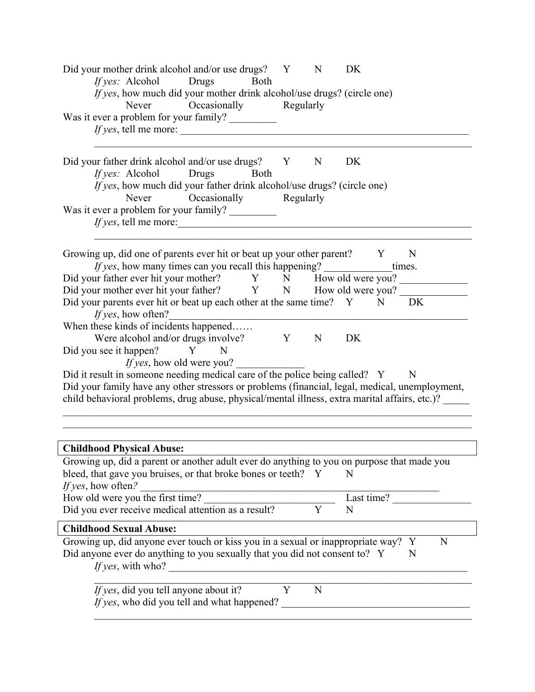| Did your mother drink alcohol and/or use drugs? Y<br><i>If yes:</i> Alcohol Drugs<br>Both                                                                                                    |           | N              | DK         |             |   |
|----------------------------------------------------------------------------------------------------------------------------------------------------------------------------------------------|-----------|----------------|------------|-------------|---|
| If yes, how much did your mother drink alcohol/use drugs? (circle one)<br>Occasionally<br>Never                                                                                              | Regularly |                |            |             |   |
| Was it ever a problem for your family?<br><i>If yes</i> , tell me more:                                                                                                                      |           |                |            |             |   |
| Did your father drink alcohol and/or use drugs? Y N<br>Drugs<br>If yes: Alcohol<br>Both                                                                                                      |           |                | DK         |             |   |
| If yes, how much did your father drink alcohol/use drugs? (circle one)<br>Occasionally Regularly<br>Never                                                                                    |           |                |            |             |   |
| Was it ever a problem for your family?                                                                                                                                                       |           |                |            |             |   |
| Growing up, did one of parents ever hit or beat up your other parent? Y                                                                                                                      |           |                |            | N           |   |
| <i>If yes</i> , how many times can you recall this happening?<br>Did your father ever hit your mother? Y N How old were you?                                                                 |           |                |            | times.      |   |
| Did your mother ever hit your father? Y N How old were you?                                                                                                                                  |           |                |            |             |   |
| Did your parents ever hit or beat up each other at the same time? Y N<br>If yes, how often?                                                                                                  |           |                |            | DK          |   |
| When these kinds of incidents happened                                                                                                                                                       |           |                |            |             |   |
| Were alcohol and/or drugs involve?                                                                                                                                                           | Y         | N              | DK         |             |   |
| Did you see it happen?<br>$\mathbf{Y}$<br>- N                                                                                                                                                |           |                |            |             |   |
| <i>If yes</i> , how old were you?                                                                                                                                                            |           |                |            |             |   |
| Did it result in someone needing medical care of the police being called? Y                                                                                                                  |           |                |            | $\mathbf N$ |   |
| Did your family have any other stressors or problems (financial, legal, medical, unemployment,                                                                                               |           |                |            |             |   |
| child behavioral problems, drug abuse, physical/mental illness, extra marital affairs, etc.)? _____                                                                                          |           |                |            |             |   |
|                                                                                                                                                                                              |           |                |            |             |   |
|                                                                                                                                                                                              |           |                |            |             |   |
| <b>Childhood Physical Abuse:</b>                                                                                                                                                             |           |                |            |             |   |
| Growing up, did a parent or another adult ever do anything to you on purpose that made you                                                                                                   |           |                |            |             |   |
| bleed, that gave you bruises, or that broke bones or teeth? Y<br>If yes, how often?                                                                                                          |           |                | N          |             |   |
| How old were you the first time?                                                                                                                                                             |           |                | Last time? |             |   |
| Did you ever receive medical attention as a result?                                                                                                                                          |           | $\overline{Y}$ | N          |             |   |
| <b>Childhood Sexual Abuse:</b>                                                                                                                                                               |           |                |            |             |   |
| Growing up, did anyone ever touch or kiss you in a sexual or inappropriate way? Y<br>Did anyone ever do anything to you sexually that you did not consent to? Y<br><i>If yes</i> , with who? |           |                |            | N           | N |
| If yes, did you tell anyone about it?<br>If yes, who did you tell and what happened?                                                                                                         | Y         | N              |            |             |   |
|                                                                                                                                                                                              |           |                |            |             |   |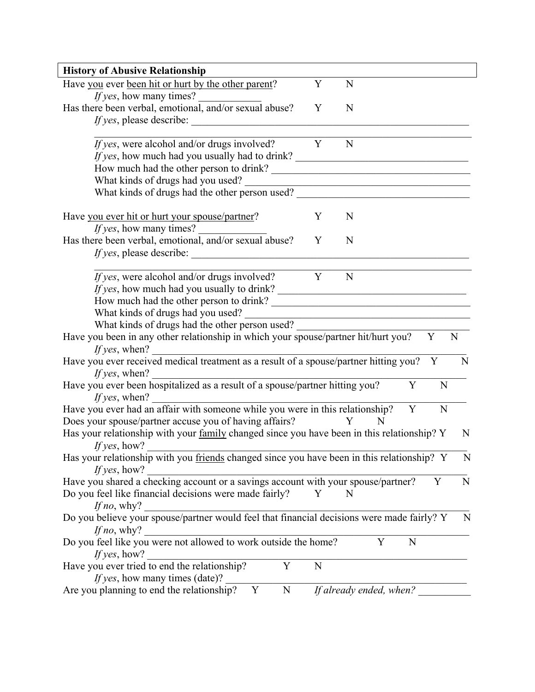| <b>History of Abusive Relationship</b>                                                                                                               |   |                                                                          |   |        |
|------------------------------------------------------------------------------------------------------------------------------------------------------|---|--------------------------------------------------------------------------|---|--------|
| Have you ever been hit or hurt by the other parent?<br><i>If yes</i> , how many times?                                                               | Y | N                                                                        |   |        |
| Has there been verbal, emotional, and/or sexual abuse?                                                                                               | Y | N                                                                        |   |        |
| <i>If yes,</i> please describe:                                                                                                                      |   |                                                                          |   |        |
| <i>If yes</i> , were alcohol and/or drugs involved?                                                                                                  | Y | N                                                                        |   |        |
| If yes, how much had you usually had to drink?                                                                                                       |   |                                                                          |   |        |
|                                                                                                                                                      |   |                                                                          |   |        |
| What kinds of drugs had you used?                                                                                                                    |   |                                                                          |   |        |
| What kinds of drugs had the other person used? __________________________________                                                                    |   |                                                                          |   |        |
|                                                                                                                                                      |   |                                                                          |   |        |
| Have you ever hit or hurt your spouse/partner?                                                                                                       | Y | N                                                                        |   |        |
| <i>If yes</i> , how many times?                                                                                                                      |   |                                                                          |   |        |
| Has there been verbal, emotional, and/or sexual abuse?                                                                                               | Y | N                                                                        |   |        |
| <i>If yes</i> , please describe:                                                                                                                     |   |                                                                          |   |        |
|                                                                                                                                                      |   |                                                                          |   |        |
| <i>If yes</i> , were alcohol and/or drugs involved?                                                                                                  | Y | N                                                                        |   |        |
| If yes, how much had you usually to drink?                                                                                                           |   |                                                                          |   |        |
|                                                                                                                                                      |   |                                                                          |   |        |
| What kinds of drugs had you used?                                                                                                                    |   | <u> 1989 - Johann John Stone, mars an deus Amerikaansk kommunister (</u> |   |        |
| What kinds of drugs had the other person used?                                                                                                       |   |                                                                          |   |        |
| Have you been in any other relationship in which your spouse/partner hit/hurt you?                                                                   |   |                                                                          | Y | N      |
| If yes, when?                                                                                                                                        |   |                                                                          |   |        |
|                                                                                                                                                      |   |                                                                          |   |        |
| Have you ever received medical treatment as a result of a spouse/partner hitting you? Y                                                              |   |                                                                          |   | N      |
| If yes, when?                                                                                                                                        |   |                                                                          |   |        |
| Have you ever been hospitalized as a result of a spouse/partner hitting you?<br>If yes, when?                                                        |   |                                                                          | Y | N      |
| Have you ever had an affair with someone while you were in this relationship?                                                                        |   |                                                                          | Y | N      |
|                                                                                                                                                      |   | Y<br>N                                                                   |   |        |
| Does your spouse/partner accuse you of having affairs?<br>Has your relationship with your family changed since you have been in this relationship? Y |   |                                                                          |   | N      |
| If yes, how?                                                                                                                                         |   |                                                                          |   |        |
|                                                                                                                                                      |   |                                                                          |   | N      |
| Has your relationship with you friends changed since you have been in this relationship? Y<br>If yes, how?                                           |   |                                                                          |   |        |
|                                                                                                                                                      |   |                                                                          |   | N<br>Y |
| Have you shared a checking account or a savings account with your spouse/partner?                                                                    | Y | N                                                                        |   |        |
| Do you feel like financial decisions were made fairly?                                                                                               |   |                                                                          |   |        |
| If no, why?                                                                                                                                          |   |                                                                          |   |        |
| Do you believe your spouse/partner would feel that financial decisions were made fairly? Y                                                           |   |                                                                          |   | N      |
| If no, why?                                                                                                                                          |   |                                                                          |   |        |
| Do you feel like you were not allowed to work outside the home?                                                                                      |   | Y                                                                        | N |        |
| If yes, how?<br>Y                                                                                                                                    | N |                                                                          |   |        |
| Have you ever tried to end the relationship?<br><i>If yes</i> , how many times (date)?                                                               |   |                                                                          |   |        |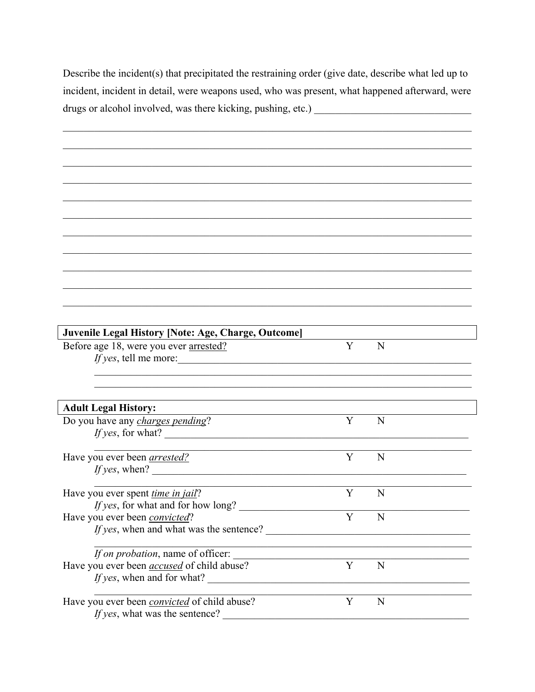Describe the incident(s) that precipitated the restraining order (give date, describe what led up to incident, incident in detail, were weapons used, who was present, what happened afterward, were 

| Juvenile Legal History [Note: Age, Charge, Outcome] |   |                                                                                                                      |  |
|-----------------------------------------------------|---|----------------------------------------------------------------------------------------------------------------------|--|
| Before age 18, were you ever arrested?              | Y | N                                                                                                                    |  |
| <i>If yes</i> , tell me more:                       |   |                                                                                                                      |  |
|                                                     |   |                                                                                                                      |  |
|                                                     |   |                                                                                                                      |  |
|                                                     |   |                                                                                                                      |  |
| <b>Adult Legal History:</b>                         |   |                                                                                                                      |  |
| Do you have any charges pending?                    | Y | N                                                                                                                    |  |
| If yes, for what?                                   |   |                                                                                                                      |  |
|                                                     |   |                                                                                                                      |  |
| Have you ever been <i>arrested</i> ?                | Y | N                                                                                                                    |  |
| <i>If yes</i> , when?                               |   |                                                                                                                      |  |
|                                                     |   |                                                                                                                      |  |
| Have you ever spent <i>time in jail</i> ?           | Y | N                                                                                                                    |  |
| <i>If yes</i> , for what and for how long?          |   |                                                                                                                      |  |
| Have you ever been convicted?                       | Y | N                                                                                                                    |  |
| <i>If yes</i> , when and what was the sentence?     |   |                                                                                                                      |  |
|                                                     |   |                                                                                                                      |  |
| If on probation, name of officer:                   |   |                                                                                                                      |  |
|                                                     | Y |                                                                                                                      |  |
| Have you ever been <i>accused</i> of child abuse?   |   | N                                                                                                                    |  |
| If yes, when and for what?                          |   | <u> 1989 - Johann John Stone, markin film ar yn y brenin y brenin y brenin y brenin y brenin y brenin y brenin y</u> |  |
|                                                     |   |                                                                                                                      |  |
| Have you ever been <i>convicted</i> of child abuse? | Y | N                                                                                                                    |  |
| If yes, what was the sentence?                      |   |                                                                                                                      |  |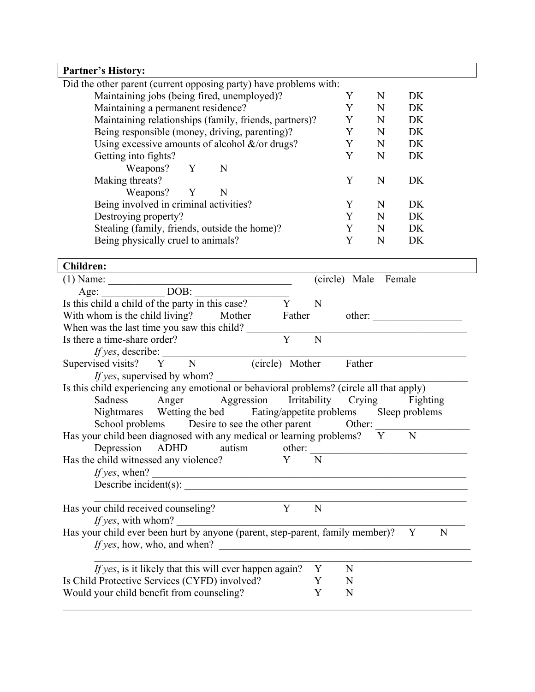| <b>Partner's History:</b>                                                                                                                          |   |                      |             |           |
|----------------------------------------------------------------------------------------------------------------------------------------------------|---|----------------------|-------------|-----------|
| Did the other parent (current opposing party) have problems with:                                                                                  |   |                      |             |           |
| Maintaining jobs (being fired, unemployed)?                                                                                                        |   | Y                    | N           | DK        |
| Maintaining a permanent residence?                                                                                                                 |   | Y                    | N           | DK        |
| Maintaining relationships (family, friends, partners)?                                                                                             |   | Y                    | N           | <b>DK</b> |
| Being responsible (money, driving, parenting)?                                                                                                     |   | Y                    | N           | DK        |
| Using excessive amounts of alcohol $\&$ /or drugs?                                                                                                 |   | Y                    | N           | DK        |
| Getting into fights?                                                                                                                               |   | Y                    | N           | DK        |
| Weapons? Y<br>N                                                                                                                                    |   |                      |             |           |
| Making threats?                                                                                                                                    |   | Y                    | N           | DK        |
| Weapons? Y<br>N                                                                                                                                    |   |                      |             |           |
| Being involved in criminal activities?                                                                                                             |   | Y                    | $\mathbf N$ | DK        |
| Destroying property?                                                                                                                               |   | Y                    | N           | DK        |
| Stealing (family, friends, outside the home)?                                                                                                      |   | Y                    | N           | DK        |
| Being physically cruel to animals?                                                                                                                 |   | Y                    | N           | DK        |
|                                                                                                                                                    |   |                      |             |           |
| <b>Children:</b>                                                                                                                                   |   |                      |             |           |
| $\overline{(1)}$ Name: $\overline{Age: \underline{\hspace{1cm}} DOB: \underline{\hspace{1cm}}$                                                     |   | (circle) Male Female |             |           |
|                                                                                                                                                    |   |                      |             |           |
| Is this child a child of the party in this case?<br>Y                                                                                              | N |                      |             |           |
| With whom is the child living? Mother Father                                                                                                       |   |                      |             | other:    |
| When was the last time you saw this child?                                                                                                         |   |                      |             |           |
| Y<br>Is there a time-share order?                                                                                                                  | N |                      |             |           |
| If yes, describe:                                                                                                                                  |   |                      |             |           |
| Supervised visits? Y N (circle) Mother Father                                                                                                      |   |                      |             |           |
| <i>If yes</i> , supervised by whom?                                                                                                                |   |                      |             |           |
| Is this child experiencing any emotional or behavioral problems? (circle all that apply)                                                           |   |                      |             |           |
| Anger Aggression Irritability Crying Fighting<br>Sadness                                                                                           |   |                      |             |           |
| Nightmares Wetting the bed Eating/appetite problems Sleep problems                                                                                 |   |                      |             |           |
| School problems Desire to see the other parent Other:                                                                                              |   |                      |             |           |
| Has your child been diagnosed with any medical or learning problems? Y                                                                             |   |                      |             | N         |
| Depression ADHD autism                                                                                                                             |   |                      |             | other:    |
| Has the child witnessed any violence?                                                                                                              | N |                      |             |           |
| If yes, when?                                                                                                                                      |   |                      |             |           |
| Describe incident(s): $\overline{\phantom{a}}$<br><u> 1980 - John Stein, Amerikaansk politiker (</u>                                               |   |                      |             |           |
| Y                                                                                                                                                  | N |                      |             |           |
| Has your child received counseling?<br>If yes, with whom?                                                                                          |   |                      |             |           |
| Has your child ever been hurt by anyone (parent, step-parent, family member)?                                                                      |   |                      |             |           |
|                                                                                                                                                    |   |                      |             | Y<br>N    |
| If yes, how, who, and when?<br><u> 1980 - Jan Barbara, martin da basar da basar da basar da basar da basar da basar da basar da basar da basar</u> |   |                      |             |           |
| If yes, is it likely that this will ever happen again?                                                                                             | Y | N                    |             |           |
| Is Child Protective Services (CYFD) involved?                                                                                                      | Y | N                    |             |           |
| Would your child benefit from counseling?                                                                                                          | Y | N                    |             |           |
|                                                                                                                                                    |   |                      |             |           |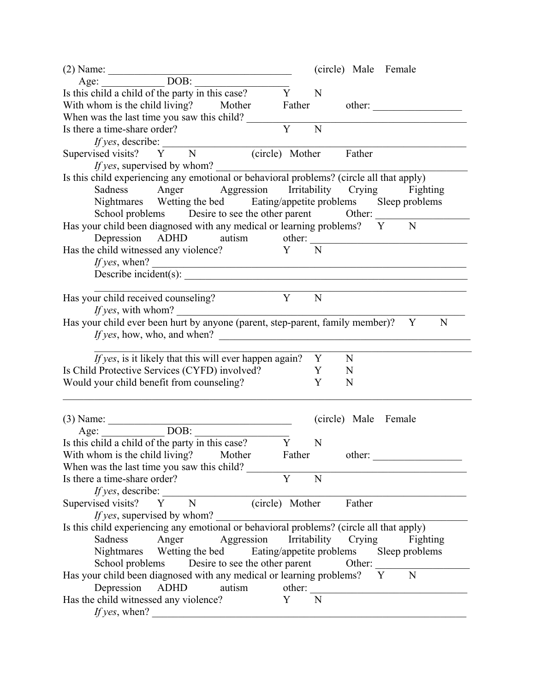|                                                                                          | (circle) Male Female             |
|------------------------------------------------------------------------------------------|----------------------------------|
| (2) Name: $\frac{\text{Age:}}{\text{Age:}}$ DOB:                                         |                                  |
| Is this child a child of the party in this case? Y                                       | N                                |
| With whom is the child living? Mother                                                    | Father other:                    |
| When was the last time you saw this child?                                               |                                  |
| Is there a time-share order?                                                             | $\overline{Y}$<br>$\overline{N}$ |
|                                                                                          |                                  |
| <i>If yes,</i> describe:<br>Supervised visits? Y N (circle) Mother                       | (circle) Mother Father           |
| <i>If yes</i> , supervised by whom?                                                      |                                  |
| Is this child experiencing any emotional or behavioral problems? (circle all that apply) |                                  |
| Sadness Anger Aggression Irritability Crying Fighting                                    |                                  |
| Nightmares Wetting the bed Eating/appetite problems Sleep problems                       |                                  |
| School problems Desire to see the other parent Other:                                    |                                  |
|                                                                                          | N                                |
| Has your child been diagnosed with any medical or learning problems? $\overline{Y}$      |                                  |
| Depression ADHD autism other:                                                            |                                  |
| Has the child witnessed any violence? $Y = \overline{N}$                                 |                                  |
|                                                                                          |                                  |
| <i>If yes</i> , when?<br>Describe incident(s): $\frac{1}{2}$                             |                                  |
|                                                                                          |                                  |
| Y<br>Has your child received counseling?                                                 | $\overline{N}$                   |
| <i>If yes</i> , with whom?                                                               |                                  |
| Has your child ever been hurt by anyone (parent, step-parent, family member)? Y          | N                                |
|                                                                                          |                                  |
|                                                                                          |                                  |
| <i>If yes</i> , is it likely that this will ever happen again? Y                         | N                                |
| Is Child Protective Services (CYFD) involved?                                            | Y<br>N                           |
| Would your child benefit from counseling?                                                | Y<br>N                           |
|                                                                                          |                                  |
|                                                                                          |                                  |
| (3) Name:<br>Age: $\frac{DOB}{I}$<br>Is this child a child of the party in this case?    | (circle) Male Female             |
|                                                                                          |                                  |
|                                                                                          | N                                |
| With whom is the child living? Mother Father other:                                      |                                  |
| When was the last time you saw this child?                                               |                                  |
| Is there a time-share order?                                                             | Y<br>N                           |
| <i>If yes</i> , describe:                                                                |                                  |
| N<br>Supervised visits?<br>Y                                                             | $(circle)$ Mother<br>Father      |
| If yes, supervised by whom?                                                              |                                  |
| Is this child experiencing any emotional or behavioral problems? (circle all that apply) |                                  |
| Aggression Irritability<br>Sadness<br>Anger                                              | Crying<br>Fighting               |
| Nightmares Wetting the bed Eating/appetite problems Sleep problems                       |                                  |
| Desire to see the other parent<br>School problems                                        | Other:                           |
| Has your child been diagnosed with any medical or learning problems? Y                   | N                                |
| Depression<br>ADHD<br>autism                                                             | other:                           |
| Has the child witnessed any violence?                                                    | N<br>Y                           |
|                                                                                          |                                  |
| If yes, when?                                                                            |                                  |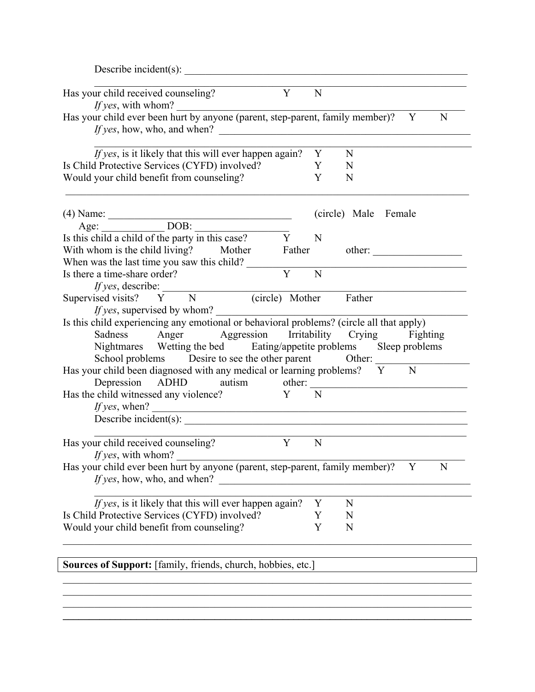|                                                                                                                                                                                                                                                                                                                                              | Describe incident(s): |        |                      |
|----------------------------------------------------------------------------------------------------------------------------------------------------------------------------------------------------------------------------------------------------------------------------------------------------------------------------------------------|-----------------------|--------|----------------------|
| Has your child received counseling?<br><i>If yes</i> , with whom?                                                                                                                                                                                                                                                                            | Y                     | N      |                      |
| Has your child ever been hurt by anyone (parent, step-parent, family member)?                                                                                                                                                                                                                                                                |                       |        | Y<br>N               |
| <i>If yes</i> , is it likely that this will ever happen again?                                                                                                                                                                                                                                                                               |                       | Y      | N                    |
| Is Child Protective Services (CYFD) involved?<br>Would your child benefit from counseling?                                                                                                                                                                                                                                                   |                       | Y<br>Y | N<br>N               |
| (4) Name: $\frac{\text{Age:}}{\text{Age:}}$ DOB: $\frac{\text{DOB:}}{\text{Y}}$                                                                                                                                                                                                                                                              |                       |        | (circle) Male Female |
|                                                                                                                                                                                                                                                                                                                                              |                       |        |                      |
|                                                                                                                                                                                                                                                                                                                                              |                       | N      |                      |
| With whom is the child living? Mother Father other:<br>When was the last time you saw this child?                                                                                                                                                                                                                                            |                       |        |                      |
| Is there a time-share order?                                                                                                                                                                                                                                                                                                                 | Y                     | N      |                      |
| <i>ff yes</i> , describe:<br>Supervised visits? Y N (circle) Mother Father<br><i>If yes</i> , supervised by whom?<br>Is this child experiencing any emotional or behavioral problems? (circle all that apply)<br>Sadness Anger Aggression Irritability Crying Fighting<br>Nightmares Wetting the bed Eating/appetite problems Sleep problems |                       |        |                      |
| School problems Desire to see the other parent Other:<br>Has your child been diagnosed with any medical or learning problems? Y<br>Depression ADHD autism other:                                                                                                                                                                             |                       |        | N                    |
| Has the child witnessed any violence? Y N<br>If yes, when? $\qquad \qquad$<br>Describe incident(s):                                                                                                                                                                                                                                          |                       |        |                      |
| Has your child received counseling?                                                                                                                                                                                                                                                                                                          | Y                     | N      |                      |
| <i>If yes</i> , with whom?<br>Has your child ever been hurt by anyone (parent, step-parent, family member)?<br>If yes, how, who, and when?                                                                                                                                                                                                   |                       |        | N<br>Y               |
| If yes, is it likely that this will ever happen again?                                                                                                                                                                                                                                                                                       |                       | Y      | N                    |
| Is Child Protective Services (CYFD) involved?<br>Would your child benefit from counseling?                                                                                                                                                                                                                                                   |                       | Y<br>Y | N<br>N               |

 $\mathcal{L}_\text{max}$  $\mathcal{L}_\text{max} = \mathcal{L}_\text{max} = \mathcal{L}_\text{max} = \mathcal{L}_\text{max} = \mathcal{L}_\text{max} = \mathcal{L}_\text{max} = \mathcal{L}_\text{max} = \mathcal{L}_\text{max} = \mathcal{L}_\text{max} = \mathcal{L}_\text{max} = \mathcal{L}_\text{max} = \mathcal{L}_\text{max} = \mathcal{L}_\text{max} = \mathcal{L}_\text{max} = \mathcal{L}_\text{max} = \mathcal{L}_\text{max} = \mathcal{L}_\text{max} = \mathcal{L}_\text{max} = \mathcal{$  $\mathcal{L}_\mathcal{L} = \{ \mathcal{L}_\mathcal{L} = \{ \mathcal{L}_\mathcal{L} = \{ \mathcal{L}_\mathcal{L} = \{ \mathcal{L}_\mathcal{L} = \{ \mathcal{L}_\mathcal{L} = \{ \mathcal{L}_\mathcal{L} = \{ \mathcal{L}_\mathcal{L} = \{ \mathcal{L}_\mathcal{L} = \{ \mathcal{L}_\mathcal{L} = \{ \mathcal{L}_\mathcal{L} = \{ \mathcal{L}_\mathcal{L} = \{ \mathcal{L}_\mathcal{L} = \{ \mathcal{L}_\mathcal{L} = \{ \mathcal{L}_\mathcal{$  $\mathcal{L}_\mathcal{L} = \{ \mathcal{L}_\mathcal{L} = \{ \mathcal{L}_\mathcal{L} = \{ \mathcal{L}_\mathcal{L} = \{ \mathcal{L}_\mathcal{L} = \{ \mathcal{L}_\mathcal{L} = \{ \mathcal{L}_\mathcal{L} = \{ \mathcal{L}_\mathcal{L} = \{ \mathcal{L}_\mathcal{L} = \{ \mathcal{L}_\mathcal{L} = \{ \mathcal{L}_\mathcal{L} = \{ \mathcal{L}_\mathcal{L} = \{ \mathcal{L}_\mathcal{L} = \{ \mathcal{L}_\mathcal{L} = \{ \mathcal{L}_\mathcal{$ 

Sources of Support: [family, friends, church, hobbies, etc.]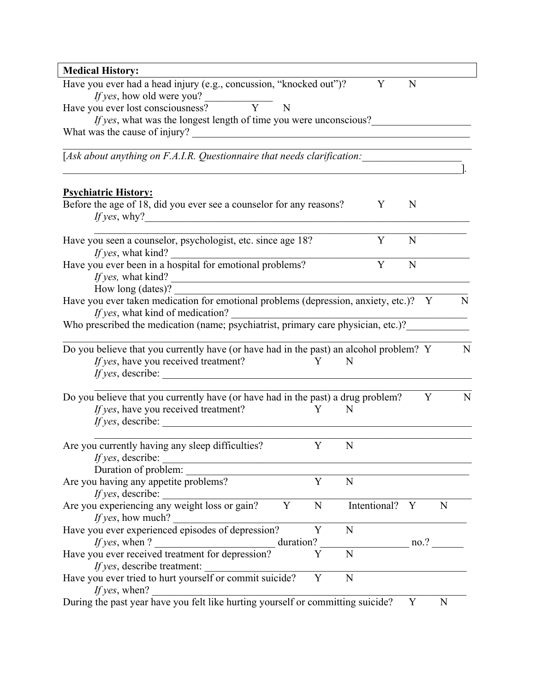| <b>Medical History:</b>                                                                                                                                           |   |   |              |              |   |   |
|-------------------------------------------------------------------------------------------------------------------------------------------------------------------|---|---|--------------|--------------|---|---|
| Have you ever had a head injury (e.g., concussion, "knocked out")?                                                                                                |   |   | Y            | N            |   |   |
| <i>If yes</i> , how old were you?<br>Have you ever lost consciousness? $\overline{Y}$<br>N                                                                        |   |   |              |              |   |   |
| <i>If yes</i> , what was the longest length of time you were unconscious?                                                                                         |   |   |              |              |   |   |
|                                                                                                                                                                   |   |   |              |              |   |   |
|                                                                                                                                                                   |   |   |              |              |   |   |
| [Ask about anything on F.A.I.R. Questionnaire that needs clarification: ____________________________                                                              |   |   |              |              |   |   |
|                                                                                                                                                                   |   |   |              |              |   |   |
| <b>Psychiatric History:</b><br>Before the age of 18, did you ever see a counselor for any reasons?                                                                |   |   | Y            | N            |   |   |
|                                                                                                                                                                   |   |   |              |              |   |   |
| Have you seen a counselor, psychologist, etc. since age 18?                                                                                                       |   |   | Y            | N            |   |   |
| If yes, what kind?                                                                                                                                                |   |   |              |              |   |   |
| Have you ever been in a hospital for emotional problems?                                                                                                          |   |   | Y            | N            |   |   |
| <i>If yes,</i> what kind? $\qquad \qquad$                                                                                                                         |   |   |              |              |   |   |
| How long (dates)?                                                                                                                                                 |   |   |              |              |   |   |
| How long (dates):<br>Have you ever taken medication for emotional problems (depression, anxiety, etc.)? Y                                                         |   |   |              |              |   | N |
| If yes, what kind of medication?<br><i>If yes</i> , what kind of medication?<br>Who prescribed the medication (name; psychiatrist, primary care physician, etc.)? |   |   |              |              |   |   |
|                                                                                                                                                                   |   |   |              |              |   |   |
|                                                                                                                                                                   |   |   |              |              |   | N |
| Do you believe that you currently have (or have had in the past) an alcohol problem? Y                                                                            |   | N |              |              |   |   |
| If yes, have you received treatment?<br>$\mathbf{Y}$<br>$\textit{If yes, describe:}$                                                                              |   |   |              |              |   |   |
|                                                                                                                                                                   |   |   |              |              |   |   |
| Do you believe that you currently have (or have had in the past) a drug problem?                                                                                  |   |   |              |              | Y | N |
| If yes, have you received treatment?                                                                                                                              | Y | N |              |              |   |   |
| <i>If yes,</i> describe:                                                                                                                                          |   |   |              |              |   |   |
| Are you currently having any sleep difficulties?                                                                                                                  | Y | N |              |              |   |   |
| If yes, describe:                                                                                                                                                 |   |   |              |              |   |   |
| Duration of problem:                                                                                                                                              |   |   |              |              |   |   |
| Are you having any appetite problems?                                                                                                                             | Y | N |              |              |   |   |
|                                                                                                                                                                   |   |   |              |              |   |   |
| <i>If yes,</i> describe: <u><i>Are you experiencing any weight loss or gain?</i></u><br>Y                                                                         | N |   | Intentional? | $\mathbf{Y}$ | N |   |
| If yes, how much?                                                                                                                                                 |   |   |              |              |   |   |
| Have you ever experienced episodes of depression?                                                                                                                 | Y | N |              |              |   |   |
| If yes, when?<br>duration?<br><u> 1989 - Johann Barbara, martxa amerikan per</u>                                                                                  |   |   | no.?         |              |   |   |
| Have you ever received treatment for depression?                                                                                                                  | Y | N |              |              |   |   |
| If yes, describe treatment:                                                                                                                                       |   |   |              |              |   |   |
| <i>If yes,</i> describe treatment:<br>Have you ever tried to hurt yourself or commit suicide?                                                                     | Y | N |              |              |   |   |
| If yes, when?                                                                                                                                                     |   |   |              |              |   |   |
| During the past year have you felt like hurting yourself or committing suicide?                                                                                   |   |   |              | Y            | N |   |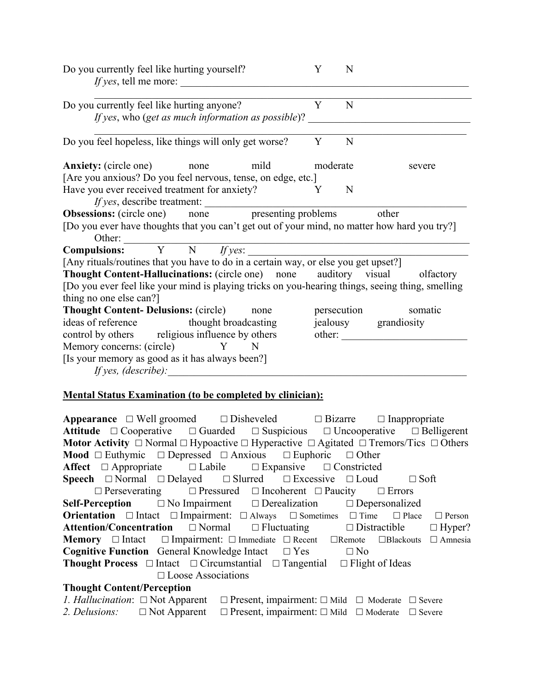| Do you currently feel like hurting yourself?<br><i>If yes, tell me more:</i>                     | Y        | N |                        |
|--------------------------------------------------------------------------------------------------|----------|---|------------------------|
| Do you currently feel like hurting anyone?                                                       | Y        | N |                        |
| If yes, who (get as much information as possible)?                                               |          |   |                        |
| Do you feel hopeless, like things will only get worse?                                           | Y        | N |                        |
| <b>Anxiety:</b> (circle one)<br>mild<br>none                                                     | moderate |   | severe                 |
| [Are you anxious? Do you feel nervous, tense, on edge, etc.]                                     |          |   |                        |
| Have you ever received treatment for anxiety?                                                    | Y        | N |                        |
| If yes, describe treatment:                                                                      |          |   |                        |
| <b>Obsessions:</b> (circle one) none presenting problems                                         |          |   | other                  |
| [Do you ever have thoughts that you can't get out of your mind, no matter how hard you try?]     |          |   |                        |
|                                                                                                  |          |   |                        |
| Other:<br>Compulsions: Y N <i>If yes</i> :                                                       |          |   |                        |
| [Any rituals/routines that you have to do in a certain way, or else you get upset?]              |          |   |                        |
| <b>Thought Content-Hallucinations:</b> (circle one) none auditory visual                         |          |   | olfactory              |
| [Do you ever feel like your mind is playing tricks on you-hearing things, seeing thing, smelling |          |   |                        |
| thing no one else can?]                                                                          |          |   |                        |
| <b>Thought Content-Delusions: (circle)</b><br>none                                               |          |   | persecution<br>somatic |
| ideas of reference thought broadcasting                                                          |          |   | jealousy grandiosity   |
| control by others religious influence by others                                                  |          |   |                        |
| Memory concerns: (circle)<br>Y N                                                                 |          |   |                        |
| [Is your memory as good as it has always been?]                                                  |          |   |                        |
| If yes, $(describe)$ :                                                                           |          |   |                        |
|                                                                                                  |          |   |                        |

## **Mental Status Examination (to be completed by clinician):**

**Appearance**  $\Box$  Well groomed  $\Box$  Disheveled  $\Box$  Bizarre  $\Box$  Inappropriate **Attitude**  $\Box$  Cooperative  $\Box$  Guarded  $\Box$  Suspicious  $\Box$  Uncooperative  $\Box$  Belligerent **Motor Activity**  $\Box$  Normal  $\Box$  Hypoactive  $\Box$  Hyperactive  $\Box$  Agitated  $\Box$  Tremors/Tics  $\Box$  Others **Mood**  $\Box$  Euthymic  $\Box$  Depressed  $\Box$  Anxious  $\Box$  Euphoric  $\Box$  Other **Affect**  $\Box$  Appropriate  $\Box$  Labile  $\Box$  Expansive  $\Box$  Constricted **Speech**  $\Box$  Normal  $\Box$  Delayed  $\Box$  Slurred  $\Box$  Excessive  $\Box$  Loud  $\Box$  Soft  $\Box$  Perseverating  $\Box$  Pressured  $\Box$  Incoherent  $\Box$  Paucity  $\Box$  Errors **Self-Perception** No Impairment Derealization Depersonalized **Orientation**  $\Box$  Intact  $\Box$  Impairment:  $\Box$  Always  $\Box$  Sometimes  $\Box$  Time  $\Box$  Place  $\Box$  Person Attention/Concentration □ Normal □ Fluctuating □ Distractible □ Hyper? **Memory** □ Intact □ Impairment: □ Immediate □ Recent □ Remote □ Blackouts □ Amnesia Cognitive Function General Knowledge Intact □ Yes □ No **Thought Process**  $\Box$  Intact  $\Box$  Circumstantial  $\Box$  Tangential  $\Box$  Flight of Ideas □ Loose Associations **Thought Content/Perception**

|               | <i>1. Hallucination</i> : $\Box$ Not Apparent $\Box$ Present, impairment: $\Box$ Mild $\Box$ Moderate $\Box$ Severe |  |
|---------------|---------------------------------------------------------------------------------------------------------------------|--|
| 2. Delusions: | $\Box$ Not Apparent $\Box$ Present, impairment: $\Box$ Mild $\Box$ Moderate $\Box$ Severe                           |  |